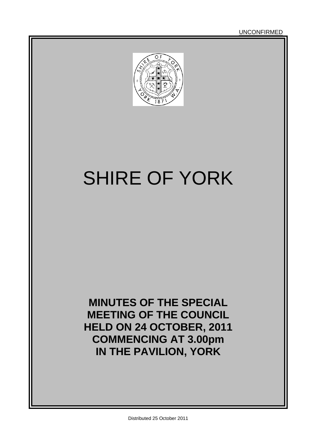# SHIRE OF YORK

**MINUTES OF THE SPECIAL MEETING OF THE COUNCIL HELD ON 24 OCTOBER, 2011 COMMENCING AT 3.00pm IN THE PAVILION, YORK**

UNCONFIRMED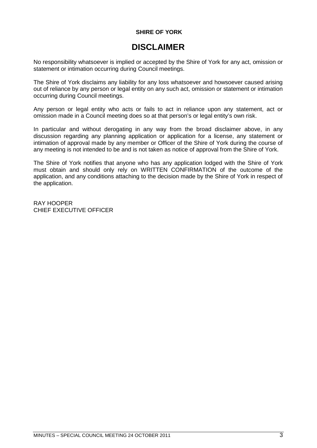#### **SHIRE OF YORK**

### **DISCLAIMER**

No responsibility whatsoever is implied or accepted by the Shire of York for any act, omission or statement or intimation occurring during Council meetings.

The Shire of York disclaims any liability for any loss whatsoever and howsoever caused arising out of reliance by any person or legal entity on any such act, omission or statement or intimation occurring during Council meetings.

Any person or legal entity who acts or fails to act in reliance upon any statement, act or omission made in a Council meeting does so at that person's or legal entity's own risk.

In particular and without derogating in any way from the broad disclaimer above, in any discussion regarding any planning application or application for a license, any statement or intimation of approval made by any member or Officer of the Shire of York during the course of any meeting is not intended to be and is not taken as notice of approval from the Shire of York.

The Shire of York notifies that anyone who has any application lodged with the Shire of York must obtain and should only rely on WRITTEN CONFIRMATION of the outcome of the application, and any conditions attaching to the decision made by the Shire of York in respect of the application.

RAY HOOPER CHIEF EXECUTIVE OFFICER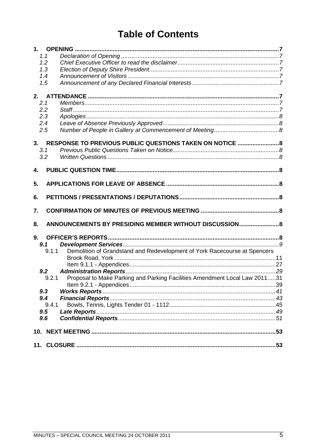### **Table of Contents**

| 1.1   |                                                                            |    |
|-------|----------------------------------------------------------------------------|----|
| 1.2   |                                                                            |    |
| 1.3   |                                                                            |    |
| 1.4   |                                                                            |    |
| 1.5   |                                                                            |    |
|       |                                                                            |    |
| 2.    |                                                                            |    |
| 2.1   |                                                                            |    |
| 2.2   |                                                                            |    |
| 2.3   |                                                                            |    |
| 2.4   |                                                                            |    |
| 2.5   |                                                                            |    |
|       |                                                                            |    |
| 3.    | RESPONSE TO PREVIOUS PUBLIC QUESTIONS TAKEN ON NOTICE  8                   |    |
| 3.1   |                                                                            |    |
| 3.2   |                                                                            |    |
| 4.    |                                                                            |    |
|       |                                                                            |    |
| 5.    |                                                                            |    |
|       |                                                                            |    |
| 6.    |                                                                            |    |
|       |                                                                            |    |
| 7.    |                                                                            |    |
|       |                                                                            |    |
| 8.    | ANNOUNCEMENTS BY PRESIDING MEMBER WITHOUT DISCUSSION 8                     |    |
|       |                                                                            |    |
| 9.    |                                                                            |    |
| 9.1   |                                                                            |    |
| 9.1.1 | Demolition of Grandstand and Redevelopment of York Racecourse at Spencers  |    |
|       |                                                                            |    |
|       |                                                                            |    |
| 9.2   |                                                                            |    |
| 9.2.1 | Proposal to Make Parking and Parking Facilities Amendment Local Law 201131 |    |
|       |                                                                            |    |
| 9.3   |                                                                            |    |
| 9.4   |                                                                            |    |
| 9.4.1 |                                                                            |    |
| 9.5   |                                                                            |    |
| 9.6   |                                                                            |    |
|       |                                                                            |    |
|       |                                                                            |    |
|       |                                                                            | 53 |
|       |                                                                            |    |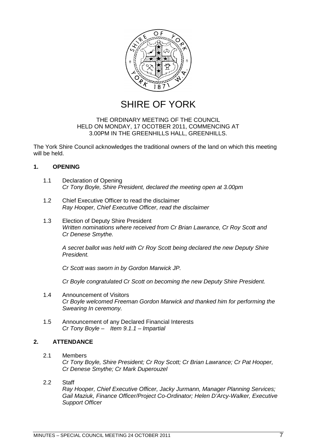

SHIRE OF YORK

#### THE ORDINARY MEETING OF THE COUNCIL HELD ON MONDAY, 17 OCOTBER 2011, COMMENCING AT 3.00PM IN THE GREENHILLS HALL, GREENHILLS.

The York Shire Council acknowledges the traditional owners of the land on which this meeting will be held.

#### <span id="page-6-0"></span>**1. OPENING**

- <span id="page-6-1"></span>1.1 Declaration of Opening *Cr Tony Boyle, Shire President, declared the meeting open at 3.00pm*
- <span id="page-6-2"></span>1.2 Chief Executive Officer to read the disclaimer *Ray Hooper, Chief Executive Officer, read the disclaimer*
- <span id="page-6-3"></span>1.3 Election of Deputy Shire President *Written nominations where received from Cr Brian Lawrance, Cr Roy Scott and Cr Denese Smythe.*

*A secret ballot was held with Cr Roy Scott being declared the new Deputy Shire President.*

*Cr Scott was sworn in by Gordon Marwick JP.*

<span id="page-6-4"></span>*Cr Boyle congratulated Cr Scott on becoming the new Deputy Shire President.*

- 1.4 Announcement of Visitors *Cr Boyle welcomed Freeman Gordon Marwick and thanked him for performing the Swearing In ceremony.*
- <span id="page-6-6"></span><span id="page-6-5"></span>1.5 Announcement of any Declared Financial Interests *Cr Tony Boyle – Item 9.1.1 – Impartial*

#### **2. ATTENDANCE**

- <span id="page-6-7"></span>2.1 Members *Cr Tony Boyle, Shire President; Cr Roy Scott; Cr Brian Lawrance; Cr Pat Hooper, Cr Denese Smythe; Cr Mark Duperouzel*
- 2.2 Staff

<span id="page-6-8"></span>*Ray Hooper, Chief Executive Officer, Jacky Jurmann, Manager Planning Services; Gail Maziuk, Finance Officer/Project Co-Ordinator; Helen D'Arcy-Walker, Executive Support Officer*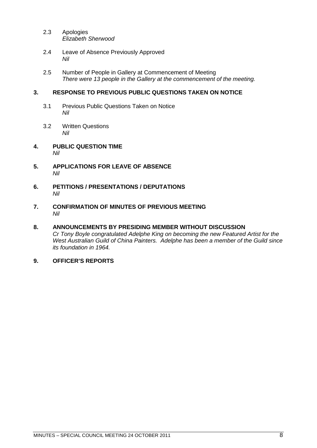- <span id="page-7-0"></span>2.3 Apologies *Elizabeth Sherwood*
- <span id="page-7-1"></span>2.4 Leave of Absence Previously Approved *Nil*
- <span id="page-7-3"></span><span id="page-7-2"></span>2.5 Number of People in Gallery at Commencement of Meeting *There were 13 people in the Gallery at the commencement of the meeting.*

#### **3. RESPONSE TO PREVIOUS PUBLIC QUESTIONS TAKEN ON NOTICE**

- <span id="page-7-4"></span>3.1 Previous Public Questions Taken on Notice *Nil*
- <span id="page-7-6"></span><span id="page-7-5"></span>3.2 Written Questions *Nil*
- **4. PUBLIC QUESTION TIME** *Nil*
- <span id="page-7-7"></span>**5. APPLICATIONS FOR LEAVE OF ABSENCE** *Nil*
- <span id="page-7-8"></span>**6. PETITIONS / PRESENTATIONS / DEPUTATIONS** *Nil*
- <span id="page-7-9"></span>**7. CONFIRMATION OF MINUTES OF PREVIOUS MEETING** *Nil*

#### <span id="page-7-10"></span>**8. ANNOUNCEMENTS BY PRESIDING MEMBER WITHOUT DISCUSSION** *Cr Tony Boyle congratulated Adelphe King on becoming the new Featured Artist for the West Australian Guild of China Painters. Adelphe has been a member of the Guild since its foundation in 1964.*

<span id="page-7-11"></span>**9. OFFICER'S REPORTS**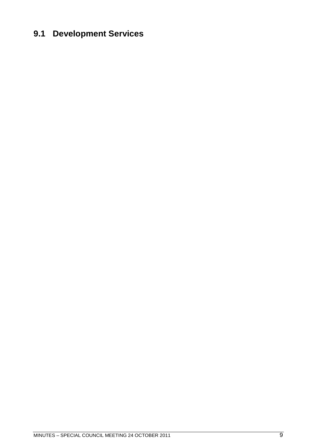### <span id="page-8-0"></span>**9.1 Development Services**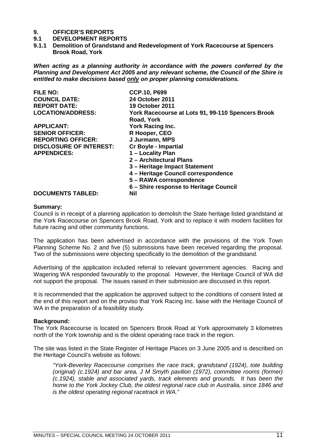### **9. OFFICER'S REPORTS**

- **9.1 DEVELOPMENT REPORTS**
- <span id="page-10-0"></span>**9.1.1 Demolition of Grandstand and Redevelopment of York Racecourse at Spencers Brook Road, York**

*When acting as a planning authority in accordance with the powers conferred by the Planning and Development Act 2005 and any relevant scheme, the Council of the Shire is entitled to make decisions based only on proper planning considerations.*

| <b>CCP.10, P699</b>                               |
|---------------------------------------------------|
| <b>24 October 2011</b>                            |
| <b>19 October 2011</b>                            |
| York Racecourse at Lots 91, 99-110 Spencers Brook |
| Road, York                                        |
| York Racing Inc.                                  |
| R Hooper, CEO                                     |
| J Jurmann, MPS                                    |
| <b>Cr Boyle - Impartial</b>                       |
| 1 - Locality Plan                                 |
| 2 - Architectural Plans                           |
| 3 - Heritage Impact Statement                     |
| 4 – Heritage Council correspondence               |
| 5 - RAWA correspondence                           |
| 6 - Shire response to Heritage Council            |
| Nil                                               |
|                                                   |

#### **Summary:**

Council is in receipt of a planning application to demolish the State heritage listed grandstand at the York Racecourse on Spencers Brook Road, York and to replace it with modern facilities for future racing and other community functions.

The application has been advertised in accordance with the provisions of the York Town Planning Scheme No. 2 and five (5) submissions have been received regarding the proposal. Two of the submissions were objecting specifically to the demolition of the grandstand.

Advertising of the application included referral to relevant government agencies. Racing and Wagering WA responded favourably to the proposal. However, the Heritage Council of WA did not support the proposal. The issues raised in their submission are discussed in this report.

It is recommended that the application be approved subject to the conditions of consent listed at the end of this report and on the proviso that York Racing Inc. liaise with the Heritage Council of WA in the preparation of a feasibility study.

#### **Background:**

The York Racecourse is located on Spencers Brook Road at York approximately 3 kilometres north of the York township and is the oldest operating race track in the region.

The site was listed in the State Register of Heritage Places on 3 June 2005 and is described on the Heritage Council's website as follows:

*"York-Beverley Racecourse comprises the race track, grandstand (1924), tote building (original) (c.1924) and bar area, J M Smyth pavilion (1972), committee rooms (former) (c.1924), stable and associated yards, track elements and grounds. It has been the home to the York Jockey Club, the oldest regional race club in Australia, since 1846 and is the oldest operating regional racetrack in WA."*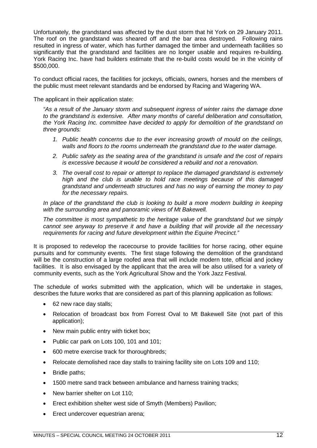Unfortunately, the grandstand was affected by the dust storm that hit York on 29 January 2011. The roof on the grandstand was sheared off and the bar area destroyed. Following rains resulted in ingress of water, which has further damaged the timber and underneath facilities so significantly that the grandstand and facilities are no longer usable and requires re-building. York Racing Inc. have had builders estimate that the re-build costs would be in the vicinity of \$500,000.

To conduct official races, the facilities for jockeys, officials, owners, horses and the members of the public must meet relevant standards and be endorsed by Racing and Wagering WA.

The applicant in their application state:

*"As a result of the January storm and subsequent ingress of winter rains the damage done to the grandstand is extensive. After many months of careful deliberation and consultation, the York Racing Inc. committee have decided to apply for demolition of the grandstand on three grounds:*

- *1. Public health concerns due to the ever increasing growth of mould on the ceilings, walls and floors to the rooms underneath the grandstand due to the water damage.*
- *2. Public safety as the seating area of the grandstand is unsafe and the cost of repairs is excessive because it would be considered a rebuild and not a renovation.*
- *3. The overall cost to repair or attempt to replace the damaged grandstand is extremely high and the club is unable to hold race meetings because of this damaged grandstand and underneath structures and has no way of earning the money to pay for the necessary repairs.*

*In place of the grandstand the club is looking to build a more modern building in keeping with the surrounding area and panoramic views of Mt Bakewell.*

*The committee is most sympathetic to the heritage value of the grandstand but we simply cannot see anyway to preserve it and have a building that will provide all the necessary requirements for racing and future development within the Equine Precinct."*

It is proposed to redevelop the racecourse to provide facilities for horse racing, other equine pursuits and for community events. The first stage following the demolition of the grandstand will be the construction of a large roofed area that will include modern tote, official and jockey facilities. It is also envisaged by the applicant that the area will be also utilised for a variety of community events, such as the York Agricultural Show and the York Jazz Festival.

The schedule of works submitted with the application, which will be undertake in stages, describes the future works that are considered as part of this planning application as follows:

- 62 new race day stalls;
- Relocation of broadcast box from Forrest Oval to Mt Bakewell Site (not part of this application);
- New main public entry with ticket box;
- Public car park on Lots 100, 101 and 101;
- 600 metre exercise track for thoroughbreds;
- Relocate demolished race day stalls to training facility site on Lots 109 and 110;
- Bridle paths;
- 1500 metre sand track between ambulance and harness training tracks;
- New barrier shelter on Lot 110:
- Erect exhibition shelter west side of Smyth (Members) Pavilion;
- Erect undercover equestrian arena;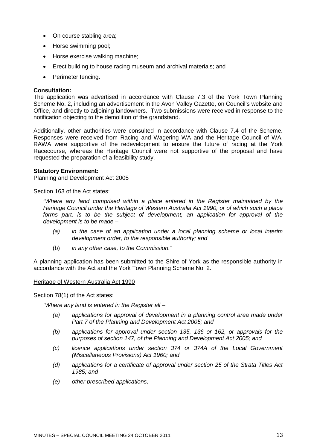- On course stabling area;
- Horse swimming pool:
- Horse exercise walking machine:
- Erect building to house racing museum and archival materials; and
- Perimeter fencing.

#### **Consultation:**

The application was advertised in accordance with Clause 7.3 of the York Town Planning Scheme No. 2, including an advertisement in the Avon Valley Gazette, on Council's website and Office, and directly to adjoining landowners. Two submissions were received in response to the notification objecting to the demolition of the grandstand.

Additionally, other authorities were consulted in accordance with Clause 7.4 of the Scheme. Responses were received from Racing and Wagering WA and the Heritage Council of WA. RAWA were supportive of the redevelopment to ensure the future of racing at the York Racecourse, whereas the Heritage Council were not supportive of the proposal and have requested the preparation of a feasibility study.

#### **Statutory Environment:**

#### Planning and Development Act 2005

Section 163 of the Act states:

*"Where any land comprised within a place entered in the Register maintained by the Heritage Council under the Heritage of Western Australia Act 1990, or of which such a place forms part, is to be the subject of development, an application for approval of the development is to be made –*

- *(a) in the case of an application under a local planning scheme or local interim development order, to the responsible authority; and*
- (b) *in any other case, to the Commission."*

A planning application has been submitted to the Shire of York as the responsible authority in accordance with the Act and the York Town Planning Scheme No. 2.

#### Heritage of Western Australia Act 1990

Section 78(1) of the Act states:

*"Where any land is entered in the Register all –*

- *(a) applications for approval of development in a planning control area made under Part 7 of the Planning and Development Act 2005; and*
- *(b) applications for approval under section 135, 136 or 162, or approvals for the purposes of section 147, of the Planning and Development Act 2005; and*
- *(c) licence applications under section 374 or 374A of the Local Government (Miscellaneous Provisions) Act 1960; and*
- *(d) applications for a certificate of approval under section 25 of the Strata Titles Act 1985; and*
- *(e) other prescribed applications,*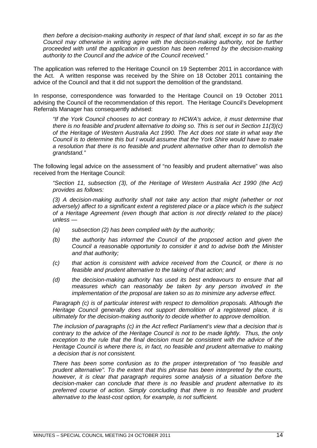*then before a decision-making authority in respect of that land shall, except in so far as the Council may otherwise in writing agree with the decision-making authority, not be further proceeded with until the application in question has been referred by the decision-making authority to the Council and the advice of the Council received."*

The application was referred to the Heritage Council on 19 September 2011 in accordance with the Act. A written response was received by the Shire on 18 October 2011 containing the advice of the Council and that it did not support the demolition of the grandstand.

In response, correspondence was forwarded to the Heritage Council on 19 October 2011 advising the Council of the recommendation of this report. The Heritage Council's Development Referrals Manager has consequently advised:

*"If the York Council chooses to act contrary to HCWA's advice, it must determine that there is no feasible and prudent alternative to doing so. This is set out in Section 11(3)(c) of the Heritage of Western Australia Act 1990. The Act does not state in what way the Council is to determine this but I would assume that the York Shire would have to make a resolution that there is no feasible and prudent alternative other than to demolish the grandstand."*

The following legal advice on the assessment of "no feasibly and prudent alternative" was also received from the Heritage Council:

*"Section 11, subsection (3), of the Heritage of Western Australia Act 1990 (the Act) provides as follows:*

*(3) A decision-making authority shall not take any action that might (whether or not adversely) affect to a significant extent a registered place or a place which is the subject of a Heritage Agreement (even though that action is not directly related to the place) unless —*

- *(a) subsection (2) has been complied with by the authority;*
- *(b) the authority has informed the Council of the proposed action and given the Council a reasonable opportunity to consider it and to advise both the Minister and that authority;*
- *(c) that action is consistent with advice received from the Council, or there is no feasible and prudent alternative to the taking of that action; and*
- *(d) the decision-making authority has used its best endeavours to ensure that all measures which can reasonably be taken by any person involved in the implementation of the proposal are taken so as to minimize any adverse effect.*

*Paragraph (c) is of particular interest with respect to demolition proposals. Although the Heritage Council generally does not support demolition of a registered place, it is ultimately for the decision-making authority to decide whether to approve demolition.*

*The inclusion of paragraphs (c) in the Act reflect Parliament's view that a decision that is contrary to the advice of the Heritage Council is not to be made lightly. Thus, the only exception to the rule that the final decision must be consistent with the advice of the Heritage Council is where there is, in fact, no feasible and prudent alternative to making a decision that is not consistent.*

*There has been some confusion as to the proper interpretation of "no feasible and prudent alternative". To the extent that this phrase has been interpreted by the courts, however, it is clear that paragraph requires some analysis of a situation before the decision-maker can conclude that there is no feasible and prudent alternative to its preferred course of action. Simply concluding that there is no feasible and prudent alternative to the least-cost option, for example, is not sufficient.*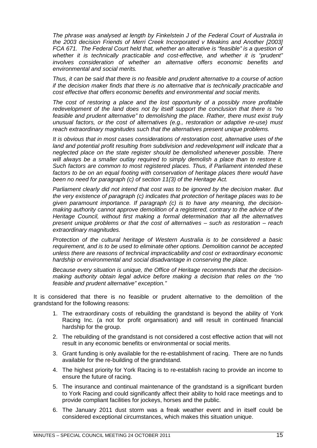*The phrase was analysed at length by Finkelstein J of the Federal Court of Australia in the 2003 decision Friends of Merri Creek Incorporated v Meakins and Another [2003] FCA 671. The Federal Court held that, whether an alterative is "feasible" is a question of whether it is technically practicable and cost-effective, and whether it is "prudent" involves consideration of whether an alternative offers economic benefits and environmental and social merits.*

*Thus, it can be said that there is no feasible and prudent alternative to a course of action if the decision maker finds that there is no alternative that is technically practicable and cost effective that offers economic benefits and environmental and social merits.*

*The cost of restoring a place and the lost opportunity of a possibly more profitable redevelopment of the land does not by itself support the conclusion that there is "no feasible and prudent alternative" to demolishing the place. Rather, there must exist truly unusual factors, or the cost of alternatives (e.g., restoration or adaptive re-use) must reach extraordinary magnitudes such that the alternatives present unique problems.*

*It is obvious that in most cases considerations of restoration cost, alternative uses of the land and potential profit resulting from subdivision and redevelopment will indicate that a neglected place on the state register should be demolished whenever possible. There will always be a smaller outlay required to simply demolish a place than to restore it. Such factors are common to most registered places. Thus, if Parliament intended these factors to be on an equal footing with conservation of heritage places there would have been no need for paragraph (c) of section 11(3) of the Heritage Act.*

*Parliament clearly did not intend that cost was to be ignored by the decision maker. But the very existence of paragraph (c) indicates that protection of heritage places was to be given paramount importance. If paragraph (c) is to have any meaning, the decisionmaking authority cannot approve demolition of a registered, contrary to the advice of the Heritage Council, without first making a formal determination that all the alternatives present unique problems or that the cost of alternatives – such as restoration – reach extraordinary magnitudes.*

*Protection of the cultural heritage of Western Australia is to be considered a basic requirement, and is to be used to eliminate other options. Demolition cannot be accepted unless there are reasons of technical impracticability and cost or extraordinary economic hardship or environmental and social disadvantage in conserving the place.*

*Because every situation is unique, the Office of Heritage recommends that the decisionmaking authority obtain legal advice before making a decision that relies on the "no feasible and prudent alternative" exception."*

It is considered that there is no feasible or prudent alternative to the demolition of the grandstand for the following reasons:

- 1. The extraordinary costs of rebuilding the grandstand is beyond the ability of York Racing Inc. (a not for profit organisation) and will result in continued financial hardship for the group.
- 2. The rebuilding of the grandstand is not considered a cost effective action that will not result in any economic benefits or environmental or social merits.
- 3. Grant funding is only available for the re-establishment of racing. There are no funds available for the re-building of the grandstand.
- 4. The highest priority for York Racing is to re-establish racing to provide an income to ensure the future of racing.
- 5. The insurance and continual maintenance of the grandstand is a significant burden to York Racing and could significantly affect their ability to hold race meetings and to provide compliant facilities for jockeys, horses and the public.
- 6. The January 2011 dust storm was a freak weather event and in itself could be considered exceptional circumstances, which makes this situation unique.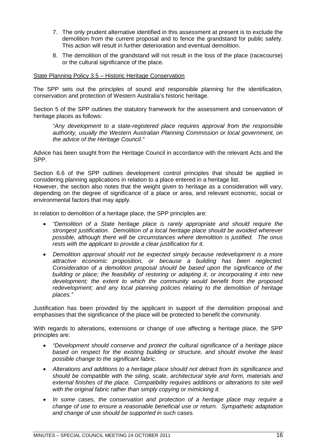- 7. The only prudent alternative identified in this assessment at present is to exclude the demolition from the current proposal and to fence the grandstand for public safety. This action will result in further deterioration and eventual demolition.
- 8. The demolition of the grandstand will not result in the loss of the place (racecourse) or the cultural significance of the place.

#### State Planning Policy 3.5 – Historic Heritage Conservation

The SPP sets out the principles of sound and responsible planning for the identification, conservation and protection of Western Australia's historic heritage.

Section 5 of the SPP outlines the statutory framework for the assessment and conservation of heritage places as follows:

*"Any development to a state-registered place requires approval from the responsible authority, usually the Western Australian Planning Commission or local government, on the advice of the Heritage Council."*

Advice has been sought from the Heritage Council in accordance with the relevant Acts and the SPP.

Section 6.6 of the SPP outlines development control principles that should be applied in considering planning applications in relation to a place entered in a heritage list.

However, the section also notes that the weight given to heritage as a consideration will vary, depending on the degree of significance of a place or area, and relevant economic, social or environmental factors that may apply.

In relation to demolition of a heritage place, the SPP principles are:

- *"Demolition of a State heritage place is rarely appropriate and should require the strongest justification. Demolition of a local heritage place should be avoided wherever possible, although there will be circumstances where demolition is justified. The onus rests with the applicant to provide a clear justification for it.*
- *Demolition approval should not be expected simply because redevelopment is a more attractive economic proposition, or because a building has been neglected. Consideration of a demolition proposal should be based upon the significance of the building or place; the feasibility of restoring or adapting it, or incorporating it into new development; the extent to which the community would benefit from the proposed redevelopment; and any local planning policies relating to the demolition of heritage places."*

Justification has been provided by the applicant in support of the demolition proposal and emphasises that the significance of the place will be protected to benefit the community.

With regards to alterations, extensions or change of use affecting a heritage place, the SPP principles are:

- *"Development should conserve and protect the cultural significance of a heritage place based on respect for the existing building or structure, and should involve the least possible change to the significant fabric.*
- *Alterations and additions to a heritage place should not detract from its significance and should be compatible with the siting, scale, architectural style and form, materials and external finishes of the place. Compatibility requires additions or alterations to site well with the original fabric rather than simply copying or mimicking it.*
- *In some cases, the conservation and protection of a heritage place may require a change of use to ensure a reasonable beneficial use or return. Sympathetic adaptation and change of use should be supported in such cases.*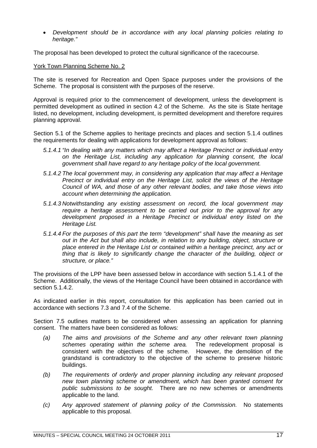*Development should be in accordance with any local planning policies relating to heritage."*

The proposal has been developed to protect the cultural significance of the racecourse.

York Town Planning Scheme No. 2

The site is reserved for Recreation and Open Space purposes under the provisions of the Scheme. The proposal is consistent with the purposes of the reserve.

Approval is required prior to the commencement of development, unless the development is permitted development as outlined in section 4.2 of the Scheme. As the site is State heritage listed, no development, including development, is permitted development and therefore requires planning approval.

Section 5.1 of the Scheme applies to heritage precincts and places and section 5.1.4 outlines the requirements for dealing with applications for development approval as follows:

- *5.1.4.1 "In dealing with any matters which may affect a Heritage Precinct or individual entry on the Heritage List, including any application for planning consent, the local government shall have regard to any heritage policy of the local government.*
- *5.1.4.2 The local government may, in considering any application that may affect a Heritage Precinct or individual entry on the Heritage List, solicit the views of the Heritage Council of WA, and those of any other relevant bodies, and take those views into account when determining the application.*
- *5.1.4.3 Notwithstanding any existing assessment on record, the local government may require a heritage assessment to be carried out prior to the approval for any development proposed in a Heritage Precinct or individual entry listed on the Heritage List.*
- *5.1.4.4 For the purposes of this part the term "development" shall have the meaning as set out in the Act but shall also include, in relation to any building, object, structure or place entered in the Heritage List or contained within a heritage precinct, any act or thing that is likely to significantly change the character of the building, object or structure, or place."*

The provisions of the LPP have been assessed below in accordance with section 5.1.4.1 of the Scheme. Additionally, the views of the Heritage Council have been obtained in accordance with section 5.1.4.2.

As indicated earlier in this report, consultation for this application has been carried out in accordance with sections 7.3 and 7.4 of the Scheme.

Section 7.5 outlines matters to be considered when assessing an application for planning consent. The matters have been considered as follows:

- *(a) The aims and provisions of the Scheme and any other relevant town planning schemes operating within the scheme area.* The redevelopment proposal is consistent with the objectives of the scheme. However, the demolition of the grandstand is contradictory to the objective of the scheme to preserve historic buildings.
- *(b) The requirements of orderly and proper planning including any relevant proposed new town planning scheme or amendment, which has been granted consent for public submissions to be sought.* There are no new schemes or amendments applicable to the land.
- *(c) Any approved statement of planning policy of the Commission.* No statements applicable to this proposal.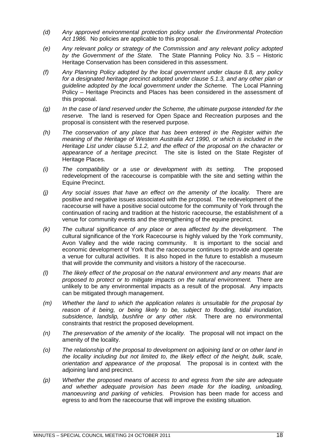- *(d) Any approved environmental protection policy under the Environmental Protection Act 1986.* No policies are applicable to this proposal.
- *(e) Any relevant policy or strategy of the Commission and any relevant policy adopted by the Government of the State.* The State Planning Policy No. 3.5 – Historic Heritage Conservation has been considered in this assessment.
- *(f) Any Planning Policy adopted by the local government under clause 8.8, any policy for a designated heritage precinct adopted under clause 5.1.3, and any other plan or guideline adopted by the local government under the Scheme.* The Local Planning Policy – Heritage Precincts and Places has been considered in the assessment of this proposal.
- *(g) In the case of land reserved under the Scheme, the ultimate purpose intended for the reserve.* The land is reserved for Open Space and Recreation purposes and the proposal is consistent with the reserved purpose.
- *(h) The conservation of any place that has been entered in the Register within the meaning of the Heritage of Western Australia Act 1990, or which is included in the Heritage List under clause 5.1.2, and the effect of the proposal on the character or appearance of a heritage precinct.* The site is listed on the State Register of Heritage Places.
- *(i) The compatibility or a use or development with its setting.* The proposed redevelopment of the racecourse is compatible with the site and setting within the Equine Precinct.
- *(j) Any social issues that have an effect on the amenity of the locality.* There are positive and negative issues associated with the proposal. The redevelopment of the racecourse will have a positive social outcome for the community of York through the continuation of racing and tradition at the historic racecourse, the establishment of a venue for community events and the strengthening of the equine precinct.
- *(k) The cultural significance of any place or area affected by the development.* The cultural significance of the York Racecourse is highly valued by the York community, Avon Valley and the wide racing community. It is important to the social and economic development of York that the racecourse continues to provide and operate a venue for cultural activities. It is also hoped in the future to establish a museum that will provide the community and visitors a history of the racecourse.
- *(l) The likely effect of the proposal on the natural environment and any means that are proposed to protect or to mitigate impacts on the natural environment.* There are unlikely to be any environmental impacts as a result of the proposal. Any impacts can be mitigated through management.
- *(m) Whether the land to which the application relates is unsuitable for the proposal by reason of it being, or being likely to be, subject to flooding, tidal inundation, subsidence, landslip, bushfire or any other risk.* There are no environmental constraints that restrict the proposed development.
- *(n) The preservation of the amenity of the locality.* The proposal will not impact on the amenity of the locality.
- *(o) The relationship of the proposal to development on adjoining land or on other land in the locality including but not limited to, the likely effect of the height, bulk, scale, orientation and appearance of the proposal.* The proposal is in context with the adjoining land and precinct.
- *(p) Whether the proposed means of access to and egress from the site are adequate and whether adequate provision has been made for the loading, unloading, manoeuvring and parking of vehicles.* Provision has been made for access and egress to and from the racecourse that will improve the existing situation.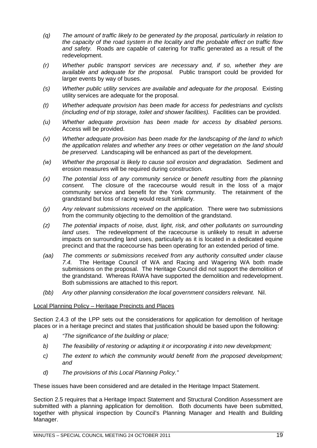- *(q) The amount of traffic likely to be generated by the proposal, particularly in relation to the capacity of the road system in the locality and the probable effect on traffic flow and safety.* Roads are capable of catering for traffic generated as a result of the redevelopment.
- *(r) Whether public transport services are necessary and, if so, whether they are available and adequate for the proposal.* Public transport could be provided for larger events by way of buses.
- *(s) Whether public utility services are available and adequate for the proposal.* Existing utility services are adequate for the proposal.
- *(t) Whether adequate provision has been made for access for pedestrians and cyclists (including end of trip storage, toilet and shower facilities).* Facilities can be provided.
- *(u) Whether adequate provision has been made for access by disabled persons.* Access will be provided.
- *(v) Whether adequate provision has been made for the landscaping of the land to which the application relates and whether any trees or other vegetation on the land should be preserved.* Landscaping will be enhanced as part of the development.
- *(w) Whether the proposal is likely to cause soil erosion and degradation.* Sediment and erosion measures will be required during construction.
- *(x) The potential loss of any community service or benefit resulting from the planning consent.* The closure of the racecourse would result in the loss of a major community service and benefit for the York community. The retainment of the grandstand but loss of racing would result similarly.
- *(y) Any relevant submissions received on the application.* There were two submissions from the community objecting to the demolition of the grandstand.
- *(z) The potential impacts of noise, dust, light, risk, and other pollutants on surrounding land uses.* The redevelopment of the racecourse is unlikely to result in adverse impacts on surrounding land uses, particularly as it is located in a dedicated equine precinct and that the racecourse has been operating for an extended period of time.
- *(aa) The comments or submissions received from any authority consulted under clause 7.4.* The Heritage Council of WA and Racing and Wagering WA both made submissions on the proposal. The Heritage Council did not support the demolition of the grandstand. Whereas RAWA have supported the demolition and redevelopment. Both submissions are attached to this report.
- *(bb) Any other planning consideration the local government considers relevant.* Nil.

#### Local Planning Policy – Heritage Precincts and Places

Section 2.4.3 of the LPP sets out the considerations for application for demolition of heritage places or in a heritage precinct and states that justification should be based upon the following:

- *a) "The significance of the building or place;*
- *b) The feasibility of restoring or adapting it or incorporating it into new development;*
- *c) The extent to which the community would benefit from the proposed development; and*
- *d) The provisions of this Local Planning Policy."*

These issues have been considered and are detailed in the Heritage Impact Statement.

Section 2.5 requires that a Heritage Impact Statement and Structural Condition Assessment are submitted with a planning application for demolition. Both documents have been submitted, together with physical inspection by Council's Planning Manager and Health and Building Manager.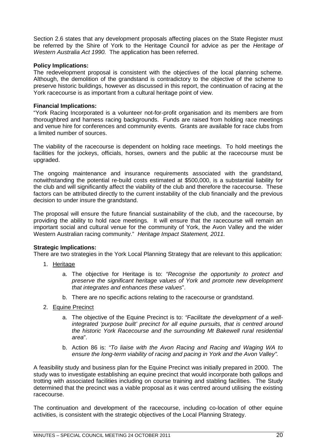Section 2.6 states that any development proposals affecting places on the State Register must be referred by the Shire of York to the Heritage Council for advice as per the *Heritage of Western Australia Act 1990.* The application has been referred.

#### **Policy Implications:**

The redevelopment proposal is consistent with the objectives of the local planning scheme. Although, the demolition of the grandstand is contradictory to the objective of the scheme to preserve historic buildings, however as discussed in this report, the continuation of racing at the York racecourse is as important from a cultural heritage point of view.

#### **Financial Implications:**

"York Racing Incorporated is a volunteer not-for-profit organisation and its members are from thoroughbred and harness racing backgrounds. Funds are raised from holding race meetings and venue hire for conferences and community events. Grants are available for race clubs from a limited number of sources.

The viability of the racecourse is dependent on holding race meetings. To hold meetings the facilities for the jockeys, officials, horses, owners and the public at the racecourse must be upgraded.

The ongoing maintenance and insurance requirements associated with the grandstand, notwithstanding the potential re-build costs estimated at \$500,000, is a substantial liability for the club and will significantly affect the viability of the club and therefore the racecourse. These factors can be attributed directly to the current instability of the club financially and the previous decision to under insure the grandstand.

The proposal will ensure the future financial sustainability of the club, and the racecourse, by providing the ability to hold race meetings. It will ensure that the racecourse will remain an important social and cultural venue for the community of York, the Avon Valley and the wider Western Australian racing community." *Heritage Impact Statement, 2011.*

#### **Strategic Implications:**

There are two strategies in the York Local Planning Strategy that are relevant to this application:

- 1. Heritage
	- a. The objective for Heritage is to: *"Recognise the opportunity to protect and preserve the significant heritage values of York and promote new development that integrates and enhances these values*".
	- b. There are no specific actions relating to the racecourse or grandstand.
- 2. Equine Precinct
	- a. The objective of the Equine Precinct is to: *"Facilitate the development of a wellintegrated 'purpose built' precinct for all equine pursuits, that is centred around the historic York Racecourse and the surrounding Mt Bakewell rural residential area*".
	- b. Action 86 is: *"To liaise with the Avon Racing and Racing and Waging WA to ensure the long-term viability of racing and pacing in York and the Avon Valley".*

A feasibility study and business plan for the Equine Precinct was initially prepared in 2000. The study was to investigate establishing an equine precinct that would incorporate both gallops and trotting with associated facilities including on course training and stabling facilities. The Study determined that the precinct was a viable proposal as it was centred around utilising the existing racecourse.

The continuation and development of the racecourse, including co-location of other equine activities, is consistent with the strategic objectives of the Local Planning Strategy.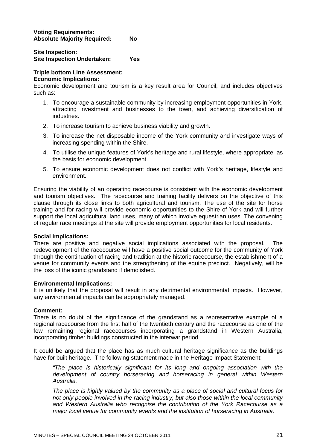#### **Voting Requirements: Absolute Majority Required: No**

#### **Site Inspection: Site Inspection Undertaken: Yes**

#### **Triple bottom Line Assessment:**

#### **Economic Implications:**

Economic development and tourism is a key result area for Council, and includes objectives such as:

- 1. To encourage a sustainable community by increasing employment opportunities in York, attracting investment and businesses to the town, and achieving diversification of industries.
- 2. To increase tourism to achieve business viability and growth.
- 3. To increase the net disposable income of the York community and investigate ways of increasing spending within the Shire.
- 4. To utilise the unique features of York's heritage and rural lifestyle, where appropriate, as the basis for economic development.
- 5. To ensure economic development does not conflict with York's heritage, lifestyle and environment.

Ensuring the viability of an operating racecourse is consistent with the economic development and tourism objectives. The racecourse and training facility delivers on the objective of this clause through its close links to both agricultural and tourism. The use of the site for horse training and for racing will provide economic opportunities to the Shire of York and will further support the local agricultural land uses, many of which involve equestrian uses. The convening of regular race meetings at the site will provide employment opportunities for local residents.

#### **Social Implications:**

There are positive and negative social implications associated with the proposal. The redevelopment of the racecourse will have a positive social outcome for the community of York through the continuation of racing and tradition at the historic racecourse, the establishment of a venue for community events and the strengthening of the equine precinct. Negatively, will be the loss of the iconic grandstand if demolished.

#### **Environmental Implications:**

It is unlikely that the proposal will result in any detrimental environmental impacts. However, any environmental impacts can be appropriately managed.

#### **Comment:**

There is no doubt of the significance of the grandstand as a representative example of a regional racecourse from the first half of the twentieth century and the racecourse as one of the few remaining regional racecourses incorporating a grandstand in Western Australia, incorporating timber buildings constructed in the interwar period.

It could be argued that the place has as much cultural heritage significance as the buildings have for built heritage. The following statement made in the Heritage Impact Statement:

*"The place is historically significant for its long and ongoing association with the development of country horseracing and horseracing in general within Western Australia.*

*The place is highly valued by the community as a place of social and cultural focus for not only people involved in the racing industry, but also those within the local community and Western Australia who recognise the contribution of the York Racecourse as a major local venue for community events and the institution of horseracing in Australia.*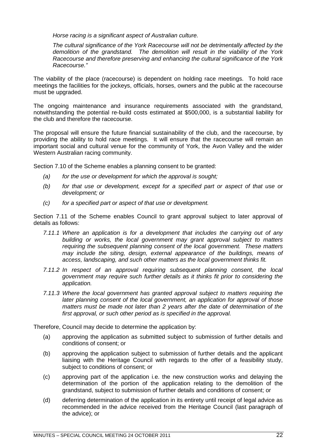*Horse racing is a significant aspect of Australian culture.*

*The cultural significance of the York Racecourse will not be detrimentally affected by the demolition of the grandstand. The demolition will result in the viability of the York Racecourse and therefore preserving and enhancing the cultural significance of the York Racecourse."*

The viability of the place (racecourse) is dependent on holding race meetings. To hold race meetings the facilities for the jockeys, officials, horses, owners and the public at the racecourse must be upgraded.

The ongoing maintenance and insurance requirements associated with the grandstand, notwithstanding the potential re-build costs estimated at \$500,000, is a substantial liability for the club and therefore the racecourse.

The proposal will ensure the future financial sustainability of the club, and the racecourse, by providing the ability to hold race meetings. It will ensure that the racecourse will remain an important social and cultural venue for the community of York, the Avon Valley and the wider Western Australian racing community.

Section 7.10 of the Scheme enables a planning consent to be granted:

- *(a) for the use or development for which the approval is sought;*
- *(b) for that use or development, except for a specified part or aspect of that use or development; or*
- *(c) for a specified part or aspect of that use or development.*

Section 7.11 of the Scheme enables Council to grant approval subject to later approval of details as follows:

- *7.11.1 Where an application is for a development that includes the carrying out of any building or works, the local government may grant approval subject to matters requiring the subsequent planning consent of the local government. These matters may include the siting, design, external appearance of the buildings, means of access, landscaping, and such other matters as the local government thinks fit.*
- *7.11.2 In respect of an approval requiring subsequent planning consent, the local government may require such further details as it thinks fit prior to considering the application.*
- *7.11.3 Where the local government has granted approval subject to matters requiring the later planning consent of the local government, an application for approval of those matters must be made not later than 2 years after the date of determination of the first approval, or such other period as is specified in the approval.*

Therefore, Council may decide to determine the application by:

- (a) approving the application as submitted subject to submission of further details and conditions of consent; or
- (b) approving the application subject to submission of further details and the applicant liaising with the Heritage Council with regards to the offer of a feasibility study, subject to conditions of consent; or
- (c) approving part of the application i.e. the new construction works and delaying the determination of the portion of the application relating to the demolition of the grandstand, subject to submission of further details and conditions of consent; or
- (d) deferring determination of the application in its entirety until receipt of legal advice as recommended in the advice received from the Heritage Council (last paragraph of the advice); or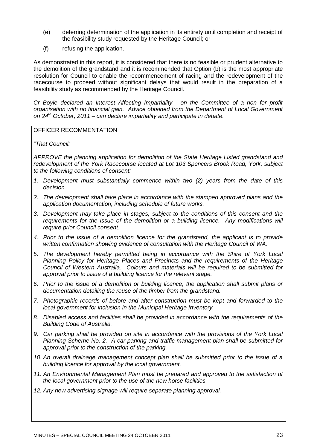- (e) deferring determination of the application in its entirety until completion and receipt of the feasibility study requested by the Heritage Council; or
- (f) refusing the application.

As demonstrated in this report, it is considered that there is no feasible or prudent alternative to the demolition of the grandstand and it is recommended that Option (b) is the most appropriate resolution for Council to enable the recommencement of racing and the redevelopment of the racecourse to proceed without significant delays that would result in the preparation of a feasibility study as recommended by the Heritage Council.

*Cr Boyle declared an Interest Affecting Impartiality - on the Committee of a non for profit organisation with no financial gain. Advice obtained from the Department of Local Government on 24th October, 2011 – can declare impartiality and participate in debate.*

OFFICER RECOMMENTATION

*"That Council:*

*APPROVE the planning application for demolition of the State Heritage Listed grandstand and redevelopment of the York Racecourse located at Lot 103 Spencers Brook Road, York, subject to the following conditions of consent:*

- *1. Development must substantially commence within two (2) years from the date of this decision.*
- *2. The development shall take place in accordance with the stamped approved plans and the application documentation, including schedule of future works.*
- *3. Development may take place in stages, subject to the conditions of this consent and the requirements for the issue of the demolition or a building licence. Any modifications will require prior Council consent.*
- *4. Prior to the issue of a demolition licence for the grandstand, the applicant is to provide written confirmation showing evidence of consultation with the Heritage Council of WA.*
- *5. The development hereby permitted being in accordance with the Shire of York Local Planning Policy for Heritage Places and Precincts and the requirements of the Heritage Council of Western Australia. Colours and materials will be required to be submitted for approval prior to issue of a building licence for the relevant stage.*
- 6. *Prior to the issue of a demolition or building licence, the application shall submit plans or documentation detailing the reuse of the timber from the grandstand.*
- *7. Photographic records of before and after construction must be kept and forwarded to the local government for inclusion in the Municipal Heritage Inventory.*
- *8. Disabled access and facilities shall be provided in accordance with the requirements of the Building Code of Australia.*
- *9. Car parking shall be provided on site in accordance with the provisions of the York Local Planning Scheme No. 2. A car parking and traffic management plan shall be submitted for approval prior to the construction of the parking.*
- *10. An overall drainage management concept plan shall be submitted prior to the issue of a building licence for approval by the local government.*
- *11. An Environmental Management Plan must be prepared and approved to the satisfaction of the local government prior to the use of the new horse facilities.*
- *12. Any new advertising signage will require separate planning approval.*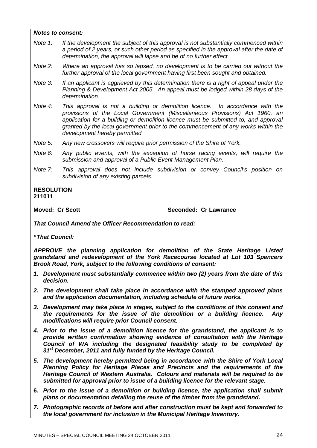#### *Notes to consent:*

- *Note 1: If the development the subject of this approval is not substantially commenced within a period of 2 years, or such other period as specified in the approval after the date of determination, the approval will lapse and be of no further effect.*
- *Note 2: Where an approval has so lapsed, no development is to be carried out without the further approval of the local government having first been sought and obtained.*
- *Note 3: If an applicant is aggrieved by this determination there is a right of appeal under the Planning & Development Act 2005. An appeal must be lodged within 28 days of the determination.*

*Note 4: This approval is not a building or demolition licence. In accordance with the provisions of the Local Government (Miscellaneous Provisions) Act 1960, an application for a building or demolition licence must be submitted to, and approval granted by the local government prior to the commencement of any works within the development hereby permitted.*

- *Note 5: Any new crossovers will require prior permission of the Shire of York.*
- *Note 6: Any public events, with the exception of horse racing events, will require the submission and approval of a Public Event Management Plan.*
- *Note 7: This approval does not include subdivision or convey Council's position on subdivision of any existing parcels.*

#### **RESOLUTION 211011**

**Moved: Cr Scott Seconded: Cr Lawrance**

*That Council Amend the Officer Recommendation to read:*

*"That Council:*

*APPROVE the planning application for demolition of the State Heritage Listed grandstand and redevelopment of the York Racecourse located at Lot 103 Spencers Brook Road, York, subject to the following conditions of consent:*

- *1. Development must substantially commence within two (2) years from the date of this decision.*
- *2. The development shall take place in accordance with the stamped approved plans and the application documentation, including schedule of future works.*
- *3. Development may take place in stages, subject to the conditions of this consent and the requirements for the issue of the demolition or a building licence. Any modifications will require prior Council consent.*
- *4. Prior to the issue of a demolition licence for the grandstand, the applicant is to provide written confirmation showing evidence of consultation with the Heritage Council of WA including the designated feasibility study to be completed by 31st December, 2011 and fully funded by the Heritage Council.*
- *5. The development hereby permitted being in accordance with the Shire of York Local Planning Policy for Heritage Places and Precincts and the requirements of the Heritage Council of Western Australia. Colours and materials will be required to be submitted for approval prior to issue of a building licence for the relevant stage.*
- **6.** *Prior to the issue of a demolition or building licence, the application shall submit plans or documentation detailing the reuse of the timber from the grandstand.*
- *7. Photographic records of before and after construction must be kept and forwarded to the local government for inclusion in the Municipal Heritage Inventory.*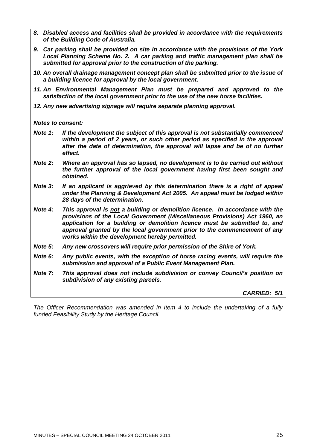- *8. Disabled access and facilities shall be provided in accordance with the requirements of the Building Code of Australia.*
- *9. Car parking shall be provided on site in accordance with the provisions of the York Local Planning Scheme No. 2. A car parking and traffic management plan shall be submitted for approval prior to the construction of the parking.*
- *10. An overall drainage management concept plan shall be submitted prior to the issue of a building licence for approval by the local government.*
- *11. An Environmental Management Plan must be prepared and approved to the satisfaction of the local government prior to the use of the new horse facilities.*
- *12. Any new advertising signage will require separate planning approval.*

*Notes to consent:*

- *Note 1: If the development the subject of this approval is not substantially commenced within a period of 2 years, or such other period as specified in the approval after the date of determination, the approval will lapse and be of no further effect.*
- *Note 2: Where an approval has so lapsed, no development is to be carried out without the further approval of the local government having first been sought and obtained.*
- *Note 3: If an applicant is aggrieved by this determination there is a right of appeal under the Planning & Development Act 2005. An appeal must be lodged within 28 days of the determination.*
- *Note 4: This approval is not a building or demolition licence. In accordance with the provisions of the Local Government (Miscellaneous Provisions) Act 1960, an application for a building or demolition licence must be submitted to, and approval granted by the local government prior to the commencement of any works within the development hereby permitted.*
- *Note 5: Any new crossovers will require prior permission of the Shire of York.*
- *Note 6: Any public events, with the exception of horse racing events, will require the submission and approval of a Public Event Management Plan.*
- *Note 7: This approval does not include subdivision or convey Council's position on subdivision of any existing parcels.*

*CARRIED: 5/1*

*The Officer Recommendation was amended in Item 4 to include the undertaking of a fully funded Feasibility Study by the Heritage Council.*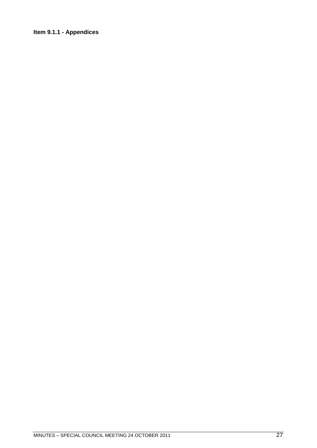### <span id="page-26-0"></span>**Item 9.1.1 - Appendices**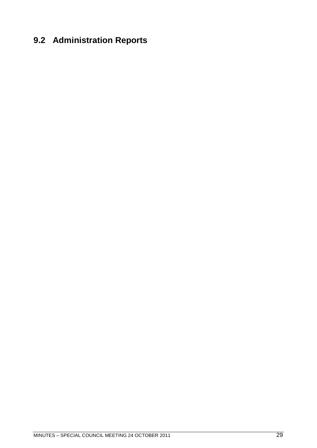# <span id="page-28-0"></span>**9.2 Administration Reports**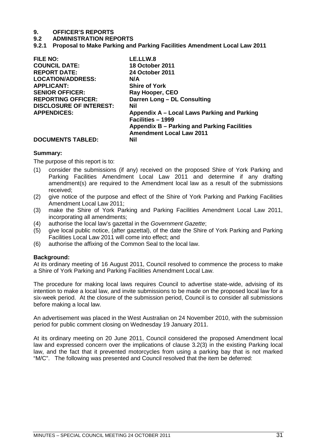# **9. OFFICER'S REPORTS**

#### **9.2 ADMINISTRATION REPORTS**

<span id="page-30-0"></span>**9.2.1 Proposal to Make Parking and Parking Facilities Amendment Local Law 2011**

| <b>FILE NO:</b>                | LE.LLW.8                                                         |
|--------------------------------|------------------------------------------------------------------|
| <b>COUNCIL DATE:</b>           | <b>18 October 2011</b>                                           |
| <b>REPORT DATE:</b>            | <b>24 October 2011</b>                                           |
| <b>LOCATION/ADDRESS:</b>       | N/A                                                              |
| <b>APPLICANT:</b>              | <b>Shire of York</b>                                             |
| <b>SENIOR OFFICER:</b>         | Ray Hooper, CEO                                                  |
| <b>REPORTING OFFICER:</b>      | Darren Long - DL Consulting                                      |
| <b>DISCLOSURE OF INTEREST:</b> | Nil                                                              |
| <b>APPENDICES:</b>             | Appendix A – Local Laws Parking and Parking<br>Facilities - 1999 |
|                                | Appendix B – Parking and Parking Facilities                      |
|                                | <b>Amendment Local Law 2011</b>                                  |
| <b>DOCUMENTS TABLED:</b>       | Nil                                                              |

#### **Summary:**

The purpose of this report is to:

- (1) consider the submissions (if any) received on the proposed Shire of York Parking and Parking Facilities Amendment Local Law 2011 and determine if any drafting amendment(s) are required to the Amendment local law as a result of the submissions received;
- (2) give notice of the purpose and effect of the Shire of York Parking and Parking Facilities Amendment Local Law 2011;
- (3) make the Shire of York Parking and Parking Facilities Amendment Local Law 2011, incorporating all amendments;
- (4) authorise the local law's gazettal in the *Government Gazette*;
- (5) give local public notice, (after gazettal), of the date the Shire of York Parking and Parking Facilities Local Law 2011 will come into effect; and
- (6) authorise the affixing of the Common Seal to the local law.

#### **Background:**

At its ordinary meeting of 16 August 2011, Council resolved to commence the process to make a Shire of York Parking and Parking Facilities Amendment Local Law.

The procedure for making local laws requires Council to advertise state-wide, advising of its intention to make a local law, and invite submissions to be made on the proposed local law for a six-week period. At the closure of the submission period, Council is to consider all submissions before making a local law.

An advertisement was placed in the West Australian on 24 November 2010, with the submission period for public comment closing on Wednesday 19 January 2011.

At its ordinary meeting on 20 June 2011, Council considered the proposed Amendment local law and expressed concern over the implications of clause 3.2(3) in the existing Parking local law, and the fact that it prevented motorcycles from using a parking bay that is not marked "M/C". The following was presented and Council resolved that the item be deferred: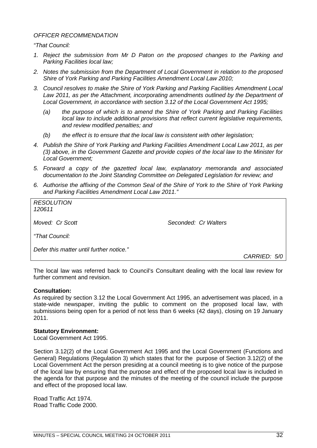#### *OFFICER RECOMMENDATION*

*"That Council:*

- *1. Reject the submission from Mr D Paton on the proposed changes to the Parking and Parking Facilities local law;*
- *2. Notes the submission from the Department of Local Government in relation to the proposed Shire of York Parking and Parking Facilities Amendment Local Law 2010;*
- *3. Council resolves to make the Shire of York Parking and Parking Facilities Amendment Local Law 2011, as per the Attachment, incorporating amendments outlined by the Department of Local Government, in accordance with section 3.12 of the Local Government Act 1995;*
	- *(a) the purpose of which is to amend the Shire of York Parking and Parking Facilities local law to include additional provisions that reflect current legislative requirements, and review modified penalties; and*
	- *(b) the effect is to ensure that the local law is consistent with other legislation;*
- *4. Publish the Shire of York Parking and Parking Facilities Amendment Local Law 2011, as per (3) above, in the Government Gazette and provide copies of the local law to the Minister for Local Government;*
- *5. Forward a copy of the gazetted local law, explanatory memoranda and associated documentation to the Joint Standing Committee on Delegated Legislation for review; and*
- *6. Authorise the affixing of the Common Seal of the Shire of York to the Shire of York Parking and Parking Facilities Amendment Local Law 2011."*

*RESOLUTION 120611*

*Moved: Cr Scott Seconded: Cr Walters*

*"That Council:*

*Defer this matter until further notice."*

*CARRIED: 5/0*

The local law was referred back to Council's Consultant dealing with the local law review for further comment and revision.

#### **Consultation:**

As required by section 3.12 the Local Government Act 1995, an advertisement was placed, in a state-wide newspaper, inviting the public to comment on the proposed local law, with submissions being open for a period of not less than 6 weeks (42 days), closing on 19 January 2011.

#### **Statutory Environment:**

Local Government Act 1995.

Section 3.12(2) of the Local Government Act 1995 and the Local Government (Functions and General) Regulations (Regulation 3) which states that for the purpose of Section 3.12(2) of the Local Government Act the person presiding at a council meeting is to give notice of the purpose of the local law by ensuring that the purpose and effect of the proposed local law is included in the agenda for that purpose and the minutes of the meeting of the council include the purpose and effect of the proposed local law.

Road Traffic Act 1974. Road Traffic Code 2000.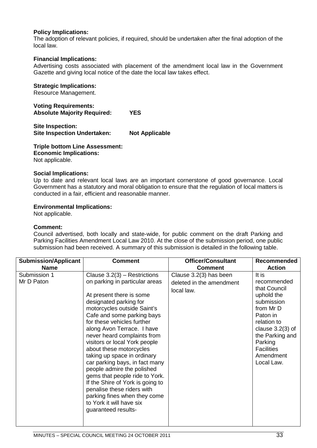#### **Policy Implications:**

The adoption of relevant policies, if required, should be undertaken after the final adoption of the local law.

#### **Financial Implications:**

Advertising costs associated with placement of the amendment local law in the Government Gazette and giving local notice of the date the local law takes effect.

#### **Strategic Implications:**

Resource Management.

**Voting Requirements: Absolute Majority Required: YES**

**Site Inspection: Site Inspection Undertaken: Not Applicable**

**Triple bottom Line Assessment: Economic Implications:** Not applicable.

#### **Social Implications:**

Up to date and relevant local laws are an important cornerstone of good governance. Local Government has a statutory and moral obligation to ensure that the regulation of local matters is conducted in a fair, efficient and reasonable manner.

#### **Environmental Implications:**

Not applicable.

#### **Comment:**

Council advertised, both locally and state-wide, for public comment on the draft Parking and Parking Facilities Amendment Local Law 2010. At the close of the submission period, one public submission had been received. A summary of this submission is detailed in the following table.

| <b>Submission/Applicant</b> | <b>Comment</b>                                                                                                                                                                                                                                                                                                                                                                                                                                                              | <b>Officer/Consultant</b>                                        | <b>Recommended</b>                                                                                                                                                                                           |
|-----------------------------|-----------------------------------------------------------------------------------------------------------------------------------------------------------------------------------------------------------------------------------------------------------------------------------------------------------------------------------------------------------------------------------------------------------------------------------------------------------------------------|------------------------------------------------------------------|--------------------------------------------------------------------------------------------------------------------------------------------------------------------------------------------------------------|
| <b>Name</b>                 |                                                                                                                                                                                                                                                                                                                                                                                                                                                                             | <b>Comment</b>                                                   | <b>Action</b>                                                                                                                                                                                                |
| Submission 1<br>Mr D Paton  | Clause $3.2(3)$ – Restrictions<br>on parking in particular areas<br>At present there is some<br>designated parking for<br>motorcycles outside Saint's<br>Cafe and some parking bays<br>for these vehicles further<br>along Avon Terrace. I have<br>never heard complaints from<br>visitors or local York people<br>about these motorcycles<br>taking up space in ordinary<br>car parking bays, in fact many<br>people admire the polished<br>gems that people ride to York. | Clause 3.2(3) has been<br>deleted in the amendment<br>local law. | It is<br>recommended<br>that Council<br>uphold the<br>submission<br>from Mr D<br>Paton in<br>relation to<br>clause $3.2(3)$ of<br>the Parking and<br>Parking<br><b>Facilities</b><br>Amendment<br>Local Law. |
|                             | If the Shire of York is going to<br>penalise these riders with<br>parking fines when they come<br>to York it will have six<br>guaranteed results-                                                                                                                                                                                                                                                                                                                           |                                                                  |                                                                                                                                                                                                              |
|                             |                                                                                                                                                                                                                                                                                                                                                                                                                                                                             |                                                                  |                                                                                                                                                                                                              |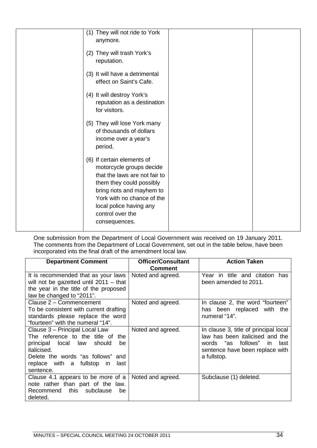| (1) They will not ride to York<br>anymore.                                                                                                                                                                                                     |  |
|------------------------------------------------------------------------------------------------------------------------------------------------------------------------------------------------------------------------------------------------|--|
| (2) They will trash York's<br>reputation.                                                                                                                                                                                                      |  |
| (3) It will have a detrimental<br>effect on Saint's Cafe.                                                                                                                                                                                      |  |
| (4) It will destroy York's<br>reputation as a destination<br>for visitors.                                                                                                                                                                     |  |
| (5) They will lose York many<br>of thousands of dollars<br>income over a year's<br>period.                                                                                                                                                     |  |
| (6) If certain elements of<br>motorcycle groups decide<br>that the laws are not fair to<br>them they could possibly<br>bring riots and mayhem to<br>York with no chance of the<br>local police having any<br>control over the<br>consequences. |  |

One submission from the Department of Local Government was received on 19 January 2011. The comments from the Department of Local Government, set out in the table below, have been incorporated into the final draft of the amendment local law.

| <b>Department Comment</b>                                                                                                                                                                                             | <b>Officer/Consultant</b><br><b>Comment</b> | <b>Action Taken</b>                                                                                                                                             |
|-----------------------------------------------------------------------------------------------------------------------------------------------------------------------------------------------------------------------|---------------------------------------------|-----------------------------------------------------------------------------------------------------------------------------------------------------------------|
| It is recommended that as your laws<br>will not be gazetted until $2011 -$ that<br>the year in the title of the proposed<br>law be changed to "2011".                                                                 | Noted and agreed.                           | Year in title and citation has<br>been amended to 2011.                                                                                                         |
| Clause 2 - Commencement<br>To be consistent with current drafting<br>standards please replace the word<br>"fourteen" with the numeral "14".                                                                           | Noted and agreed.                           | In clause 2, the word "fourteen"<br>has been replaced with the<br>numeral "14".                                                                                 |
| Clause 3 - Principal Local Law<br>The reference to the title of the<br>principal local law should<br>be<br><i>italicised.</i><br>Delete the words "as follows" and<br>replace with a fullstop in<br>last<br>sentence. | Noted and agreed.                           | In clause 3, title of principal local<br>law has been italicised and the<br>words "as follows"<br>last<br>in.<br>sentence have been replace with<br>a fullstop. |
| Clause 4.1 appears to be more of a<br>note rather than part of the law.<br>Recommend this subclause<br>be<br>deleted.                                                                                                 | Noted and agreed.                           | Subclause (1) deleted.                                                                                                                                          |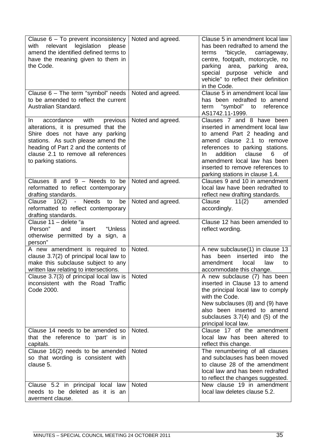| Clause 6 - To prevent inconsistency<br>legislation<br>relevant<br>please<br>with<br>amend the identified defined terms to<br>have the meaning given to them in<br>the Code.                                                                                    | Noted and agreed. | Clause 5 in amendment local law<br>has been redrafted to amend the<br>"bicycle, carriageway,<br>terms<br>centre, footpath, motorcycle, no<br>parking area, parking area,<br>special purpose vehicle and<br>vehicle" to reflect their definition<br>in the Code.                                             |
|----------------------------------------------------------------------------------------------------------------------------------------------------------------------------------------------------------------------------------------------------------------|-------------------|-------------------------------------------------------------------------------------------------------------------------------------------------------------------------------------------------------------------------------------------------------------------------------------------------------------|
| Clause 6 - The term "symbol" needs<br>to be amended to reflect the current<br>Australian Standard.                                                                                                                                                             | Noted and agreed. | Clause 5 in amendment local law<br>has been redrafted to amend<br>"symbol" to reference<br>term<br>AS1742.11-1999.                                                                                                                                                                                          |
| with<br>accordance<br>In.<br>previous<br>alterations, it is presumed that the<br>Shire does not have any parking<br>stations. As such please amend the<br>heading of Part 2 and the contents of<br>clause 2.1 to remove all references<br>to parking stations. | Noted and agreed. | Clauses 7 and 8 have been<br>inserted in amendment local law<br>to amend Part 2 heading and<br>amend clause 2.1 to remove<br>references to parking stations.<br>addition<br>clause<br>6<br>0f<br>In.<br>amendment local law has been<br>inserted to remove references to<br>parking stations in clause 1.4. |
| Clauses $8$ and $9$ – Needs to be<br>reformatted to reflect contemporary<br>drafting standards.                                                                                                                                                                | Noted and agreed. | Clauses 9 and 10 in amendment<br>local law have been redrafted to<br>reflect new drafting standards.                                                                                                                                                                                                        |
| <b>Needs</b><br>be<br>Clause<br>10(2)<br>$\blacksquare$<br>to<br>reformatted to reflect contemporary<br>drafting standards.                                                                                                                                    | Noted and agreed. | Clause<br>11(2)<br>amended<br>accordingly.                                                                                                                                                                                                                                                                  |
| Clause 11 - delete "a<br>Person"<br>and<br>insert<br>"Unless<br>otherwise permitted by a sign, a<br>person"                                                                                                                                                    | Noted and agreed. | Clause 12 has been amended to<br>reflect wording.                                                                                                                                                                                                                                                           |
| A new amendment is required to                                                                                                                                                                                                                                 |                   |                                                                                                                                                                                                                                                                                                             |
| clause 3.7(2) of principal local law to<br>make this subclause subject to any<br>written law relating to intersections.                                                                                                                                        | Noted.            | A new subclause(1) in clause 13<br>inserted<br>been<br>into<br>has<br>the<br>amendment<br>local<br>law<br>to<br>accommodate this change.                                                                                                                                                                    |
| Clause 3.7(3) of principal local law is<br>inconsistent with the Road Traffic<br>Code 2000.                                                                                                                                                                    | <b>Noted</b>      | A new subclause (7) has been<br>inserted in Clause 13 to amend<br>the principal local law to comply<br>with the Code.<br>New subclauses (8) and (9) have<br>also been inserted to amend<br>subclauses $3.7(4)$ and $(5)$ of the<br>principal local law.                                                     |
| Clause 14 needs to be amended so<br>that the reference to 'part' is in<br>capitals.                                                                                                                                                                            | Noted.            | Clause 17 of the amendment<br>local law has been altered to<br>reflect this change.                                                                                                                                                                                                                         |
| Clause 16(2) needs to be amended<br>so that wording is consistent with<br>clause 5.                                                                                                                                                                            | Noted             | The renumbering of all clauses<br>and subclauses has been moved<br>to clause 28 of the amendment<br>local law and has been redrafted<br>to reflect the changes suggested.                                                                                                                                   |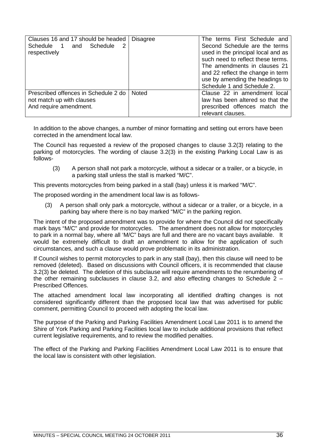| Clauses 16 and 17 should be headed<br>Schedule 1 and Schedule<br>2<br>respectively          | <b>Disagree</b> | The terms First Schedule and<br>Second Schedule are the terms<br>used in the principal local and as<br>such need to reflect these terms.<br>The amendments in clauses 21<br>and 22 reflect the change in term<br>use by amending the headings to<br>Schedule 1 and Schedule 2. |
|---------------------------------------------------------------------------------------------|-----------------|--------------------------------------------------------------------------------------------------------------------------------------------------------------------------------------------------------------------------------------------------------------------------------|
| Prescribed offences in Schedule 2 do<br>not match up with clauses<br>And require amendment. | <b>Noted</b>    | Clause 22 in amendment local<br>law has been altered so that the<br>prescribed offences match the<br>relevant clauses.                                                                                                                                                         |

In addition to the above changes, a number of minor formatting and setting out errors have been corrected in the amendment local law.

The Council has requested a review of the proposed changes to clause 3.2(3) relating to the parking of motorcycles. The wording of clause 3.2(3) in the existing Parking Local Law is as follows-

(3) A person shall not park a motorcycle, without a sidecar or a trailer, or a bicycle, in a parking stall unless the stall is marked "M/C".

This prevents motorcycles from being parked in a stall (bay) unless it is marked "M/C".

The proposed wording in the amendment local law is as follows-

(3) A person shall only park a motorcycle, without a sidecar or a trailer, or a bicycle, in a parking bay where there is no bay marked "M/C" in the parking region.

The intent of the proposed amendment was to provide for where the Council did not specifically mark bays "M/C" and provide for motorcycles. The amendment does not allow for motorcycles to park in a normal bay, where all 'M/C" bays are full and there are no vacant bays available. It would be extremely difficult to draft an amendment to allow for the application of such circumstances, and such a clause would prove problematic in its administration.

If Council wishes to permit motorcycles to park in any stall (bay), then this clause will need to be removed (deleted). Based on discussions with Council officers, it is recommended that clause 3.2(3) be deleted. The deletion of this subclause will require amendments to the renumbering of the other remaining subclauses in clause 3.2, and also effecting changes to Schedule  $2 -$ Prescribed Offences.

The attached amendment local law incorporating all identified drafting changes is not considered significantly different than the proposed local law that was advertised for public comment, permitting Council to proceed with adopting the local law.

The purpose of the Parking and Parking Facilities Amendment Local Law 2011 is to amend the Shire of York Parking and Parking Facilities local law to include additional provisions that reflect current legislative requirements, and to review the modified penalties.

The effect of the Parking and Parking Facilities Amendment Local Law 2011 is to ensure that the local law is consistent with other legislation.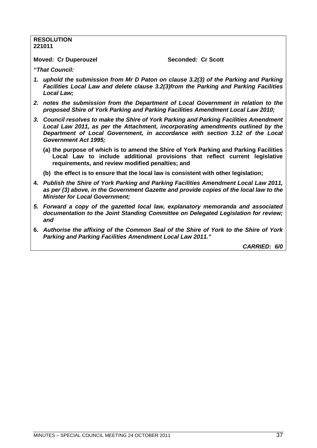#### **RESOLUTION 221011**

**Moved: Cr Duperouzel Seconded: Cr Scott** 

*"That Council:*

- *1. uphold the submission from Mr D Paton on clause 3.2(3) of the Parking and Parking Facilities Local Law and delete clause 3.2(3)from the Parking and Parking Facilities Local Law;*
- *2. notes the submission from the Department of Local Government in relation to the proposed Shire of York Parking and Parking Facilities Amendment Local Law 2010;*
- *3. Council resolves to make the Shire of York Parking and Parking Facilities Amendment Local Law 2011, as per the Attachment, incorporating amendments outlined by the Department of Local Government, in accordance with section 3.12 of the Local Government Act 1995;*
	- **(a) the purpose of which is to amend the Shire of York Parking and Parking Facilities Local Law to include additional provisions that reflect current legislative requirements, and review modified penalties; and**
	- **(b) the effect is to ensure that the local law is consistent with other legislation;**
- **4.** *Publish the Shire of York Parking and Parking Facilities Amendment Local Law 2011, as per (3) above, in the Government Gazette and provide copies of the local law to the Minister for Local Government;*
- *5. Forward a copy of the gazetted local law, explanatory memoranda and associated documentation to the Joint Standing Committee on Delegated Legislation for review; and*
- **6.** *Authorise the affixing of the Common Seal of the Shire of York to the Shire of York Parking and Parking Facilities Amendment Local Law 2011."*

*CARRIED: 6/0*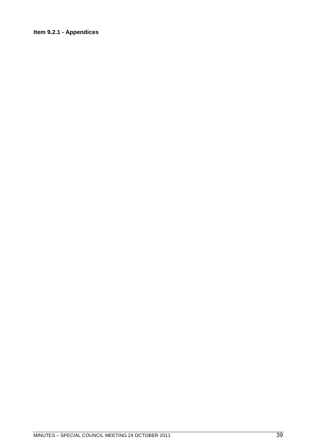#### <span id="page-38-0"></span>**Item 9.2.1 - Appendices**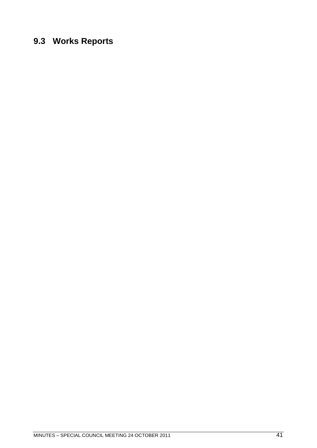### <span id="page-40-0"></span>**9.3 Works Reports**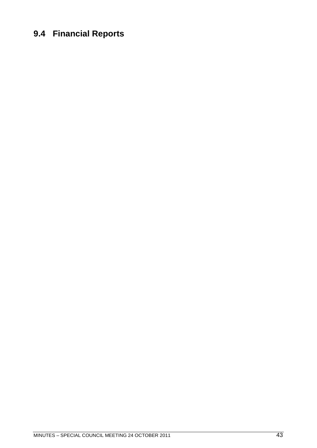### <span id="page-42-0"></span>**9.4 Financial Reports**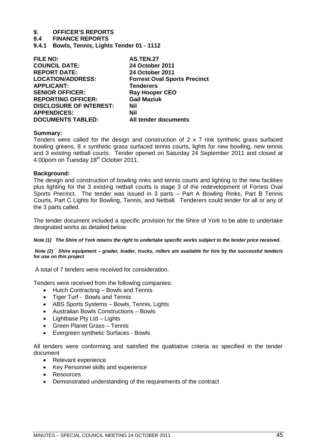# **9. OFFICER'S REPORTS**

**9.4 FINANCE REPORTS**

<span id="page-44-0"></span>**9.4.1 Bowls, Tennis, Lights Tender 01 - 1112**

| <b>FILE NO:</b>                | <b>AS.TEN.27</b>                    |
|--------------------------------|-------------------------------------|
| <b>COUNCIL DATE:</b>           | <b>24 October 2011</b>              |
| <b>REPORT DATE:</b>            | 24 October 2011                     |
| <b>LOCATION/ADDRESS:</b>       | <b>Forrest Oval Sports Precinct</b> |
| <b>APPLICANT:</b>              | <b>Tenderers</b>                    |
| <b>SENIOR OFFICER:</b>         | <b>Ray Hooper CEO</b>               |
| <b>REPORTING OFFICER:</b>      | <b>Gail Maziuk</b>                  |
| <b>DISCLOSURE OF INTEREST:</b> | Nil                                 |
| <b>APPENDICES:</b>             | Nil                                 |
| <b>DOCUMENTS TABLED:</b>       | All tender documents                |

#### **Summary:**

Tenders were called for the design and construction of 2 x 7 rink synthetic grass surfaced bowling greens, 8 x synthetic grass surfaced tennis courts, lights for new bowling, new tennis and 3 existing netball courts. Tender opened on Saturday 24 September 2011 and closed at 4.00pom on Tuesday 18<sup>th</sup> October 2011.

#### **Background:**

The design and construction of bowling rinks and tennis courts and lighting to the new facilities plus lighting for the 3 existing netball courts is stage 3 of the redevelopment of Forrest Oval Sports Precinct. The tender was issued in 3 parts – Part A Bowling Rinks, Part B Tennis Courts, Part C Lights for Bowling, Tennis, and Netball. Tenderers could tender for all or any of the 3 parts called.

The tender document included a specific provision for the Shire of York to be able to undertake designated works as detailed below

*Note (1) The Shire of York retains the right to undertake specific works subject to the tender price received.*

*Note (2) Shire equipment – grader, loader, trucks, rollers are available for hire by the successful tender/s for use on this project*

A total of 7 tenders were received for consideration.

Tenders were received from the following companies:

- Hutch Contracting Bowls and Tennis
- Tiger Turf Bowls and Tennis
- ABS Sports Systems Bowls, Tennis, Lights
- Australian Bowls Constructions Bowls
- Lightbase Pty Ltd Lights
- Green Planet Grass Tennis
- Evergreen synthetic Surfaces Bowls

All tenders were conforming and satisfied the qualitative criteria as specified in the tender document

- Relevant experience
- Key Personnel skills and experience
- Resources
- Demonstrated understanding of the requirements of the contract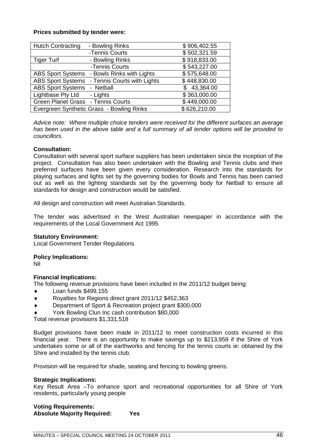#### **Prices submitted by tender were:**

| <b>Hutch Contracting</b>           | - Bowling Rinks                           | \$906,402.55 |
|------------------------------------|-------------------------------------------|--------------|
|                                    | -Tennis Courts                            | \$502,321.59 |
| <b>Tiger Turf</b>                  | - Bowling Rinks                           | \$918,833.00 |
|                                    | -Tennis Courts                            | \$543,227.00 |
| <b>ABS Sport Systems</b>           | - Bowls Rinks with Lights                 | \$575,648.00 |
| <b>ABS Sport Systems</b>           | - Tennis Courts with Lights               | \$448,830.00 |
| <b>ABS Sport Systems</b>           | - Netball                                 | \$43,364.00  |
| Lightbase Pty Ltd                  | - Lights                                  | \$363,000.00 |
| Green Planet Grass - Tennis Courts |                                           | \$449,000.00 |
|                                    | Evergreen Synthetic Grass - Bowling Rinks | \$626,210.00 |

*Advice note: Where multiple choice tenders were received for the different surfaces an average has been used in the above table and a full summary of all tender options will be provided to councillors.*

#### **Consultation:**

Consultation with several sport surface suppliers has been undertaken since the inception of the project. Consultation has also been undertaken with the Bowling and Tennis clubs and their preferred surfaces have been given every consideration. Research into the standards for playing surfaces and lights set by the governing bodies for Bowls and Tennis has been carried out as well as the lighting standards set by the governing body for Netball to ensure all standards for design and construction would be satisfied.

All design and construction will meet Australian Standards.

The tender was advertised in the West Australian newspaper in accordance with the requirements of the Local Government Act 1995

#### **Statutory Environment:**

Local Government Tender Regulations

#### **Policy Implications:**

Nil

#### **Financial Implications:**

The following revenue provisions have been included in the 2011/12 budget being:

- Loan funds \$499,155
- Royalties for Regions direct grant 2011/12 \$452,363
- Department of Sport & Recreation project grant \$300,000
- York Bowling Clun Inc cash contribution \$80,000

Total revenue provisions \$1,331,518

Budget provisions have been made in 2011/12 to meet construction costs incurred in this financial year. There is an opportunity to make savings up to \$213,959 if the Shire of York undertakes some or all of the earthworks and fencing for the tennis courts ie: obtained by the Shire and installed by the tennis club.

Provision will be required for shade, seating and fencing to bowling greens.

#### **Strategic Implications:**

Key Result Area –To enhance sport and recreational opportunities for all Shire of York residents, particularly young people

#### **Voting Requirements: Absolute Majority Required: Yes**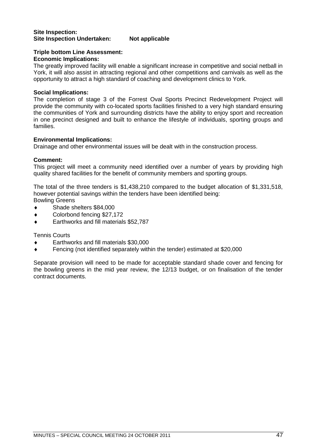#### **Site Inspection: Site Inspection Undertaken: Not applicable**

#### **Triple bottom Line Assessment:**

#### **Economic Implications:**

The greatly improved facility will enable a significant increase in competitive and social netball in York, it will also assist in attracting regional and other competitions and carnivals as well as the opportunity to attract a high standard of coaching and development clinics to York.

#### **Social Implications:**

The completion of stage 3 of the Forrest Oval Sports Precinct Redevelopment Project will provide the community with co-located sports facilities finished to a very high standard ensuring the communities of York and surrounding districts have the ability to enjoy sport and recreation in one precinct designed and built to enhance the lifestyle of individuals, sporting groups and families.

#### **Environmental Implications:**

Drainage and other environmental issues will be dealt with in the construction process.

#### **Comment:**

This project will meet a community need identified over a number of years by providing high quality shared facilities for the benefit of community members and sporting groups.

The total of the three tenders is \$1,438,210 compared to the budget allocation of \$1,331,518, however potential savings within the tenders have been identified being: Bowling Greens

- ◆ Shade shelters \$84,000
- Colorbond fencing \$27,172
- Earthworks and fill materials \$52,787

Tennis Courts

- Earthworks and fill materials \$30,000
- Fencing (not identified separately within the tender) estimated at \$20,000

Separate provision will need to be made for acceptable standard shade cover and fencing for the bowling greens in the mid year review, the 12/13 budget, or on finalisation of the tender contract documents.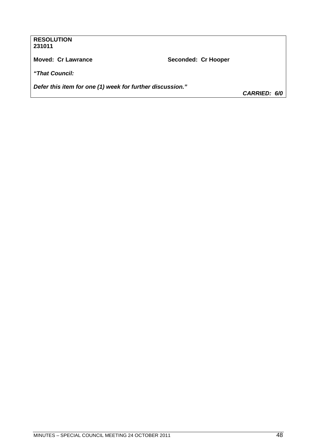#### **RESOLUTION 231011**

Moved: Cr Lawrance **Now Seconded: Cr Hooper** 

*"That Council:*

*Defer this item for one (1) week for further discussion."*

*CARRIED: 6/0*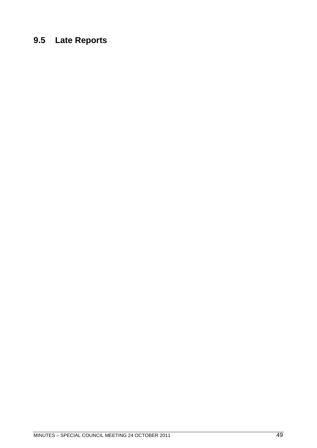# <span id="page-48-0"></span>**9.5 Late Reports**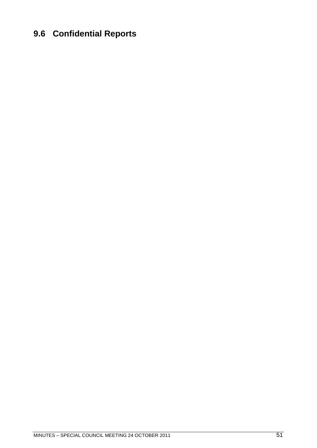### <span id="page-50-0"></span>**9.6 Confidential Reports**